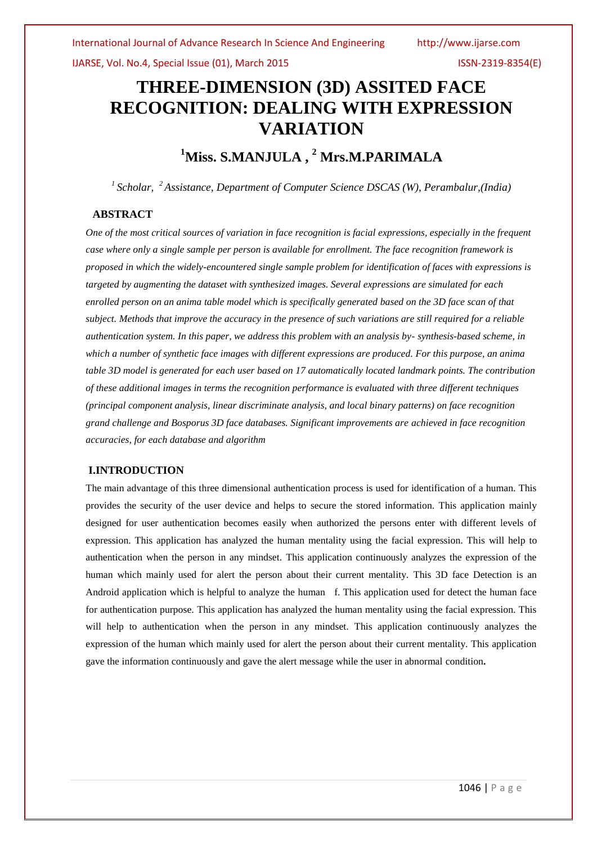# **THREE-DIMENSION (3D) ASSITED FACE RECOGNITION: DEALING WITH EXPRESSION VARIATION**

## **<sup>1</sup>Miss. S.MANJULA , <sup>2</sup> Mrs.M.PARIMALA**

*1 Scholar,<sup>2</sup>Assistance, Department of Computer Science DSCAS (W), Perambalur,(India)*

## **ABSTRACT**

*One of the most critical sources of variation in face recognition is facial expressions, especially in the frequent case where only a single sample per person is available for enrollment. The face recognition framework is proposed in which the widely-encountered single sample problem for identification of faces with expressions is targeted by augmenting the dataset with synthesized images. Several expressions are simulated for each enrolled person on an anima table model which is specifically generated based on the 3D face scan of that subject. Methods that improve the accuracy in the presence of such variations are still required for a reliable authentication system. In this paper, we address this problem with an analysis by- synthesis-based scheme, in which a number of synthetic face images with different expressions are produced. For this purpose, an anima table 3D model is generated for each user based on 17 automatically located landmark points. The contribution of these additional images in terms the recognition performance is evaluated with three different techniques (principal component analysis, linear discriminate analysis, and local binary patterns) on face recognition grand challenge and Bosporus 3D face databases. Significant improvements are achieved in face recognition accuracies, for each database and algorithm*

## **I.INTRODUCTION**

The main advantage of this three dimensional authentication process is used for identification of a human. This provides the security of the user device and helps to secure the stored information. This application mainly designed for user authentication becomes easily when authorized the persons enter with different levels of expression. This application has analyzed the human mentality using the facial expression. This will help to authentication when the person in any mindset. This application continuously analyzes the expression of the human which mainly used for alert the person about their current mentality. This 3D face Detection is an Android application which is helpful to analyze the human f. This application used for detect the human face for authentication purpose. This application has analyzed the human mentality using the facial expression. This will help to authentication when the person in any mindset. This application continuously analyzes the expression of the human which mainly used for alert the person about their current mentality. This application gave the information continuously and gave the alert message while the user in abnormal condition**.**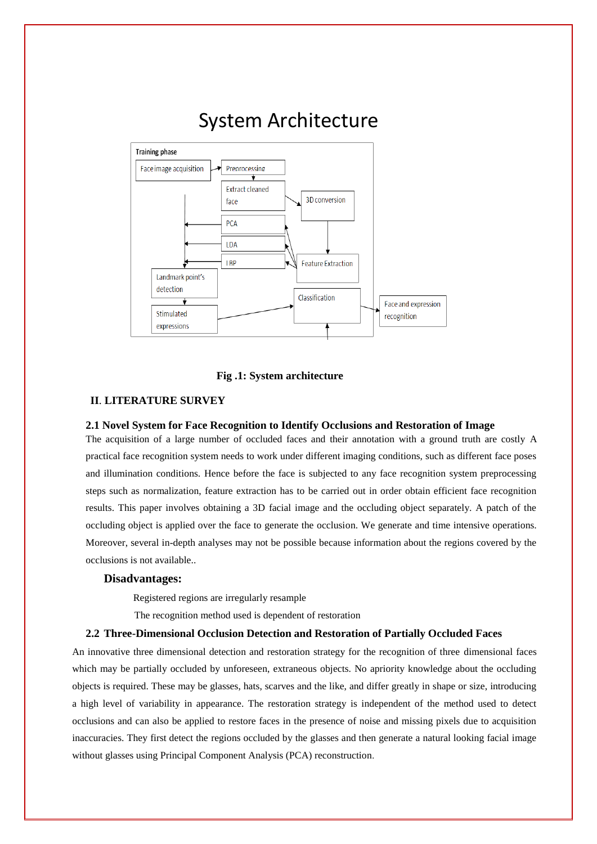# System Architecture



#### **Fig .1: System architecture**

## **II**. **LITERATURE SURVEY**

## **2.1 Novel System for Face Recognition to Identify Occlusions and Restoration of Image**

The acquisition of a large number of occluded faces and their annotation with a ground truth are costly A practical face recognition system needs to work under different imaging conditions, such as different face poses and illumination conditions. Hence before the face is subjected to any face recognition system preprocessing steps such as normalization, feature extraction has to be carried out in order obtain efficient face recognition results. This paper involves obtaining a 3D facial image and the occluding object separately. A patch of the occluding object is applied over the face to generate the occlusion. We generate and time intensive operations. Moreover, several in-depth analyses may not be possible because information about the regions covered by the occlusions is not available..

#### **Disadvantages:**

Registered regions are irregularly resample

The recognition method used is dependent of restoration

#### **2.2 Three-Dimensional Occlusion Detection and Restoration of Partially Occluded Faces**

An innovative three dimensional detection and restoration strategy for the recognition of three dimensional faces which may be partially occluded by unforeseen, extraneous objects. No apriority knowledge about the occluding objects is required. These may be glasses, hats, scarves and the like, and differ greatly in shape or size, introducing a high level of variability in appearance. The restoration strategy is independent of the method used to detect occlusions and can also be applied to restore faces in the presence of noise and missing pixels due to acquisition inaccuracies. They first detect the regions occluded by the glasses and then generate a natural looking facial image without glasses using Principal Component Analysis (PCA) reconstruction.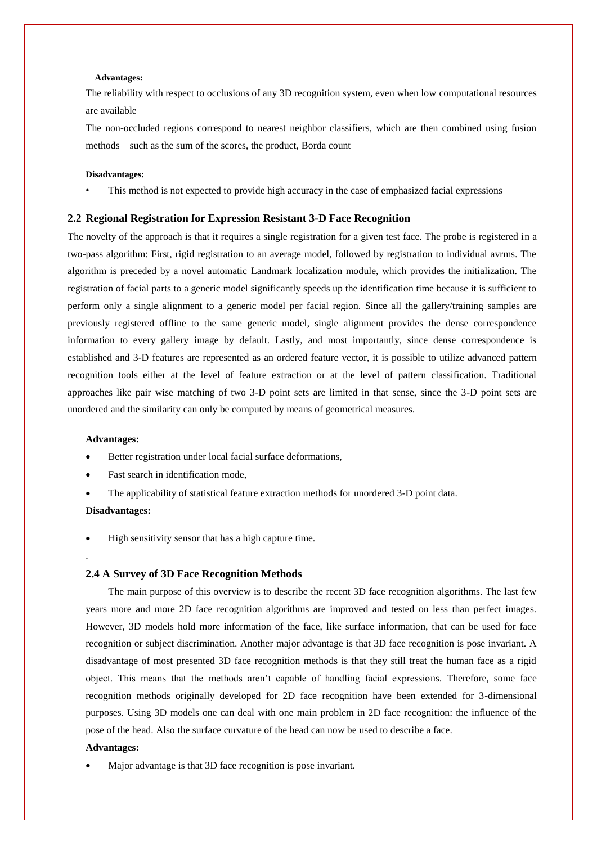#### **Advantages:**

The reliability with respect to occlusions of any 3D recognition system, even when low computational resources are available

The non-occluded regions correspond to nearest neighbor classifiers, which are then combined using fusion methods such as the sum of the scores, the product, Borda count

#### **Disadvantages:**

This method is not expected to provide high accuracy in the case of emphasized facial expressions

#### **2.2 Regional Registration for Expression Resistant 3-D Face Recognition**

The novelty of the approach is that it requires a single registration for a given test face. The probe is registered in a two-pass algorithm: First, rigid registration to an average model, followed by registration to individual avrms. The algorithm is preceded by a novel automatic Landmark localization module, which provides the initialization. The registration of facial parts to a generic model significantly speeds up the identification time because it is sufficient to perform only a single alignment to a generic model per facial region. Since all the gallery/training samples are previously registered offline to the same generic model, single alignment provides the dense correspondence information to every gallery image by default. Lastly, and most importantly, since dense correspondence is established and 3-D features are represented as an ordered feature vector, it is possible to utilize advanced pattern recognition tools either at the level of feature extraction or at the level of pattern classification. Traditional approaches like pair wise matching of two 3-D point sets are limited in that sense, since the 3-D point sets are unordered and the similarity can only be computed by means of geometrical measures.

#### **Advantages:**

- Better registration under local facial surface deformations,
- Fast search in identification mode,
- The applicability of statistical feature extraction methods for unordered 3-D point data.

#### **Disadvantages:**

.

High sensitivity sensor that has a high capture time.

## **2.4 A Survey of 3D Face Recognition Methods**

The main purpose of this overview is to describe the recent 3D face recognition algorithms. The last few years more and more 2D face recognition algorithms are improved and tested on less than perfect images. However, 3D models hold more information of the face, like surface information, that can be used for face recognition or subject discrimination. Another major advantage is that 3D face recognition is pose invariant. A disadvantage of most presented 3D face recognition methods is that they still treat the human face as a rigid object. This means that the methods aren't capable of handling facial expressions. Therefore, some face recognition methods originally developed for 2D face recognition have been extended for 3-dimensional purposes. Using 3D models one can deal with one main problem in 2D face recognition: the influence of the pose of the head. Also the surface curvature of the head can now be used to describe a face.

#### **Advantages:**

Major advantage is that 3D face recognition is pose invariant.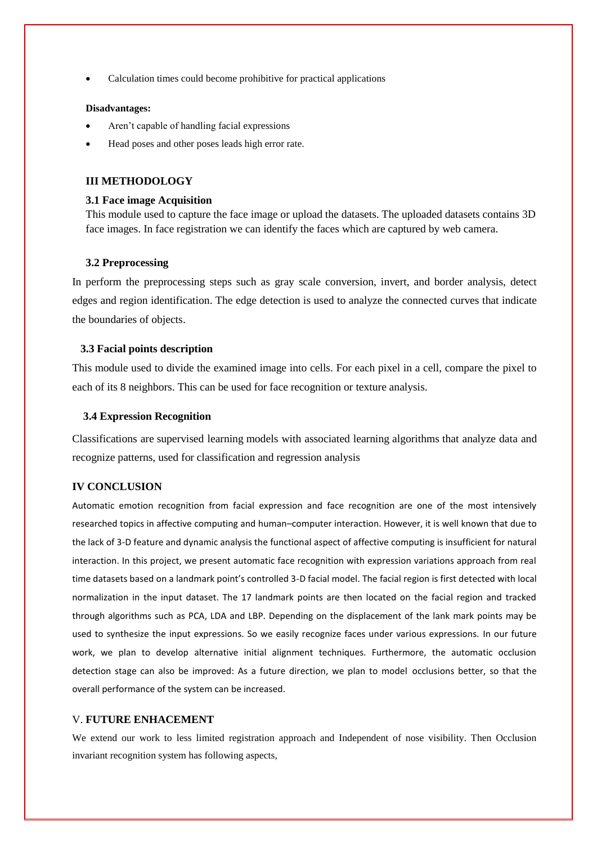Calculation times could become prohibitive for practical applications

#### **Disadvantages:**

- Aren't capable of handling facial expressions
- Head poses and other poses leads high error rate.

## **III METHODOLOGY**

#### **3.1 Face image Acquisition**

This module used to capture the face image or upload the datasets. The uploaded datasets contains 3D face images. In face registration we can identify the faces which are captured by web camera.

#### **3.2 Preprocessing**

In perform the preprocessing steps such as gray scale conversion, invert, and border analysis, detect edges and region identification. The edge detection is used to analyze the connected curves that indicate the boundaries of objects.

## **3.3 Facial points description**

This module used to divide the examined image into cells. For each pixel in a cell, compare the pixel to each of its 8 neighbors. This can be used for face recognition or texture analysis.

#### **3.4 Expression Recognition**

Classifications are supervised learning models with associated learning algorithms that analyze data and recognize patterns, used for classification and regression analysis

## **IV CONCLUSION**

Automatic emotion recognition from facial expression and face recognition are one of the most intensively researched topics in affective computing and human–computer interaction. However, it is well known that due to the lack of 3-D feature and dynamic analysis the functional aspect of affective computing is insufficient for natural interaction. In this project, we present automatic face recognition with expression variations approach from real time datasets based on a landmark point's controlled 3-D facial model. The facial region is first detected with local normalization in the input dataset. The 17 landmark points are then located on the facial region and tracked through algorithms such as PCA, LDA and LBP. Depending on the displacement of the lank mark points may be used to synthesize the input expressions. So we easily recognize faces under various expressions. In our future work, we plan to develop alternative initial alignment techniques. Furthermore, the automatic occlusion detection stage can also be improved: As a future direction, we plan to model occlusions better, so that the overall performance of the system can be increased.

## V. **FUTURE ENHACEMENT**

We extend our work to less limited registration approach and Independent of nose visibility. Then Occlusion invariant recognition system has following aspects,